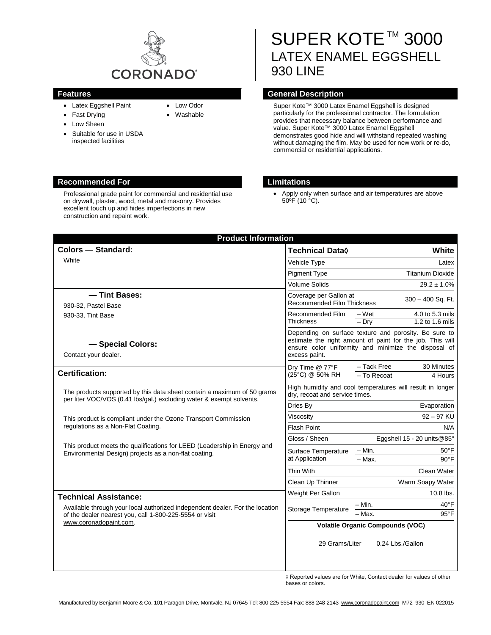

- Latex Eggshell Paint
- Fast Drying
- Low Sheen
- Suitable for use in USDA inspected facilities

## • Low Odor

• Washable

# SUPER KOTE™ 3000 LATEX ENAMEL EGGSHELL 930 LINE

#### **Features General Description**

Super Kote™ 3000 Latex Enamel Eggshell is designed particularly for the professional contractor. The formulation provides that necessary balance between performance and value. Super Kote™ 3000 Latex Enamel Eggshell demonstrates good hide and will withstand repeated washing without damaging the film. May be used for new work or re-do, commercial or residential applications.

#### **Recommended For Limitations**

Professional grade paint for commercial and residential use on drywall, plaster, wood, metal and masonry. Provides excellent touch up and hides imperfections in new construction and repaint work.

• Apply only when surface and air temperatures are above 50ºF (10 °C).

|                                                                                                                                                                            |                                                          | White                                                                                                                                                                                                                                                                                                                |
|----------------------------------------------------------------------------------------------------------------------------------------------------------------------------|----------------------------------------------------------|----------------------------------------------------------------------------------------------------------------------------------------------------------------------------------------------------------------------------------------------------------------------------------------------------------------------|
| Vehicle Type                                                                                                                                                               |                                                          | Latex                                                                                                                                                                                                                                                                                                                |
| <b>Pigment Type</b>                                                                                                                                                        |                                                          | <b>Titanium Dioxide</b>                                                                                                                                                                                                                                                                                              |
| <b>Volume Solids</b>                                                                                                                                                       |                                                          | $29.2 \pm 1.0\%$                                                                                                                                                                                                                                                                                                     |
|                                                                                                                                                                            |                                                          | 300 - 400 Sq. Ft.                                                                                                                                                                                                                                                                                                    |
|                                                                                                                                                                            |                                                          |                                                                                                                                                                                                                                                                                                                      |
| <b>Thickness</b>                                                                                                                                                           | $-$ Dry                                                  | 4.0 to 5.3 mils<br>1.2 to 1.6 mils                                                                                                                                                                                                                                                                                   |
|                                                                                                                                                                            |                                                          |                                                                                                                                                                                                                                                                                                                      |
| estimate the right amount of paint for the job. This will<br>ensure color uniformity and minimize the disposal of                                                          |                                                          |                                                                                                                                                                                                                                                                                                                      |
|                                                                                                                                                                            |                                                          |                                                                                                                                                                                                                                                                                                                      |
| Dry Time @ 77°F<br>(25°C) @ 50% RH                                                                                                                                         | - To Recoat                                              | 30 Minutes<br>4 Hours                                                                                                                                                                                                                                                                                                |
|                                                                                                                                                                            |                                                          |                                                                                                                                                                                                                                                                                                                      |
| Dries By                                                                                                                                                                   |                                                          | Evaporation                                                                                                                                                                                                                                                                                                          |
| Viscosity                                                                                                                                                                  |                                                          | $92 - 97$ KU                                                                                                                                                                                                                                                                                                         |
| Flash Point                                                                                                                                                                |                                                          | N/A                                                                                                                                                                                                                                                                                                                  |
| Gloss / Sheen                                                                                                                                                              |                                                          | Eggshell 15 - 20 units@85°                                                                                                                                                                                                                                                                                           |
| This product meets the qualifications for LEED (Leadership in Energy and<br>Surface Temperature<br>Environmental Design) projects as a non-flat coating.<br>at Application | – Min.                                                   | $50^{\circ}$ F                                                                                                                                                                                                                                                                                                       |
|                                                                                                                                                                            | $-$ Max.                                                 | $90^{\circ}$ F                                                                                                                                                                                                                                                                                                       |
| Thin With                                                                                                                                                                  |                                                          | Clean Water                                                                                                                                                                                                                                                                                                          |
| Clean Up Thinner                                                                                                                                                           |                                                          | Warm Soapy Water                                                                                                                                                                                                                                                                                                     |
| Weight Per Gallon                                                                                                                                                          |                                                          | $10.8$ lbs.                                                                                                                                                                                                                                                                                                          |
|                                                                                                                                                                            | – Min.                                                   | $40^{\circ}$ F                                                                                                                                                                                                                                                                                                       |
|                                                                                                                                                                            |                                                          | $95^{\circ}$ F                                                                                                                                                                                                                                                                                                       |
|                                                                                                                                                                            |                                                          |                                                                                                                                                                                                                                                                                                                      |
|                                                                                                                                                                            |                                                          | 0.24 Lbs./Gallon                                                                                                                                                                                                                                                                                                     |
|                                                                                                                                                                            | Recommended Film<br>excess paint.<br>Storage Temperature | Coverage per Gallon at<br><b>Recommended Film Thickness</b><br>– Wet<br>Depending on surface texture and porosity. Be sure to<br>- Tack Free<br>High humidity and cool temperatures will result in longer<br>dry, recoat and service times.<br>$-$ Max.<br><b>Volatile Organic Compounds (VOC)</b><br>29 Grams/Liter |

 $\Diamond$  Reported values are for White, Contact dealer for values of other bases or colors.